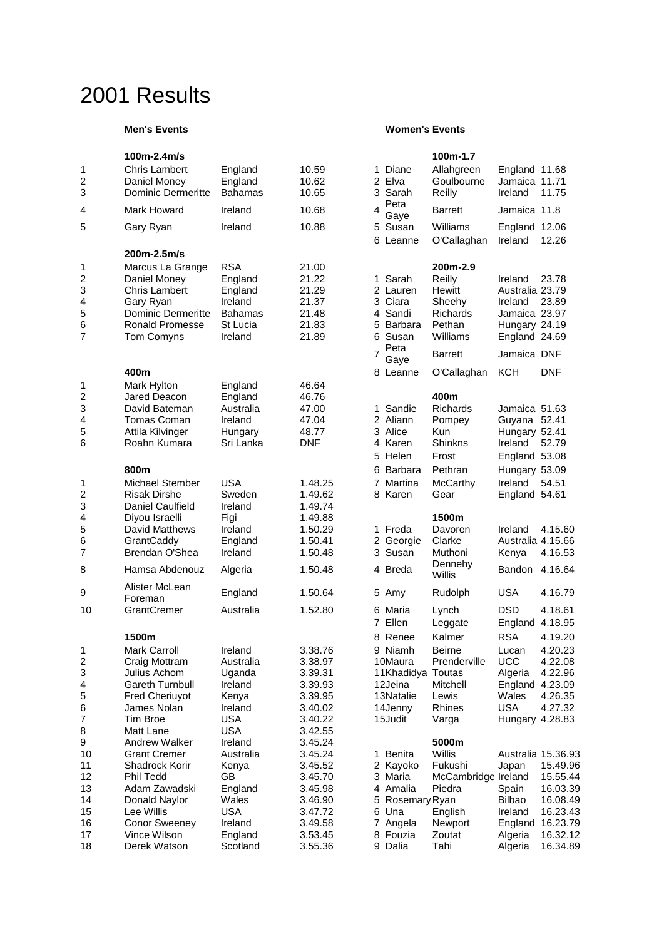## 2001 Results

|           | 100m-2.4m/s                         |                            |                    |                         | 100m-1.7                  |                               |                      |
|-----------|-------------------------------------|----------------------------|--------------------|-------------------------|---------------------------|-------------------------------|----------------------|
| 1         | <b>Chris Lambert</b>                | England                    | 10.59              | 1 Diane                 | Allahgreen                | England 11.68                 |                      |
| 2         | Daniel Money                        | England                    | 10.62              | 2 Elva                  | Goulbourne                | Jamaica 11.71                 |                      |
| 3         | <b>Dominic Dermeritte</b>           | <b>Bahamas</b>             | 10.65              | 3 Sarah                 | Reilly                    | Ireland                       | 11.75                |
| 4         | Mark Howard                         | Ireland                    | 10.68              | Peta<br>4<br>Gaye       | <b>Barrett</b>            | Jamaica 11.8                  |                      |
| 5         | Gary Ryan                           | Ireland                    | 10.88              | 5 Susan<br>6 Leanne     | Williams<br>O'Callaghan   | England 12.06<br>Ireland      | 12.26                |
|           | 200m-2.5m/s                         |                            |                    |                         |                           |                               |                      |
| 1         | Marcus La Grange                    | <b>RSA</b>                 | 21.00              |                         | 200 <sub>m</sub> -2.9     |                               |                      |
| 2         | Daniel Money                        | England                    | 21.22              | 1 Sarah                 | Reilly                    | Ireland                       | 23.78                |
| 3         | <b>Chris Lambert</b>                | England                    | 21.29              | 2 Lauren                | <b>Hewitt</b>             | Australia 23.79               |                      |
| 4         | Gary Ryan                           | Ireland                    | 21.37              | 3 Ciara                 | Sheehy                    | Ireland                       | 23.89                |
| 5         | <b>Dominic Dermeritte</b>           | <b>Bahamas</b>             | 21.48              | 4 Sandi                 | <b>Richards</b>           | Jamaica 23.97                 |                      |
| 6<br>7    | <b>Ronald Promesse</b>              | St Lucia<br>Ireland        | 21.83<br>21.89     | Barbara<br>5<br>6 Susan | Pethan<br>Williams        | Hungary 24.19                 |                      |
|           | Tom Comyns                          |                            |                    | Peta                    |                           | England 24.69                 |                      |
|           |                                     |                            |                    | $\overline{7}$<br>Gaye  | <b>Barrett</b>            | Jamaica DNF                   |                      |
|           | 400m                                |                            |                    | 8 Leanne                | O'Callaghan               | <b>KCH</b>                    | <b>DNF</b>           |
| 1         | Mark Hylton                         | England                    | 46.64              |                         |                           |                               |                      |
| 2         | Jared Deacon                        | England                    | 46.76              |                         | 400m                      |                               |                      |
| 3<br>4    | David Bateman<br><b>Tomas Coman</b> | Australia<br>Ireland       | 47.00<br>47.04     | 1 Sandie<br>2 Aliann    | <b>Richards</b><br>Pompey | Jamaica 51.63<br>Guyana 52.41 |                      |
| 5         | Attila Kilvinger                    | Hungary                    | 48.77              | 3 Alice                 | Kun                       | Hungary 52.41                 |                      |
| 6         | Roahn Kumara                        | Sri Lanka                  | <b>DNF</b>         | 4 Karen                 | Shinkns                   | Ireland                       | 52.79                |
|           |                                     |                            |                    | 5 Helen                 | Frost                     | England 53.08                 |                      |
|           | 800m                                |                            |                    | 6<br>Barbara            | Pethran                   | Hungary 53.09                 |                      |
| 1         | Michael Stember                     | <b>USA</b>                 | 1.48.25            | 7 Martina               | <b>McCarthy</b>           | Ireland                       | 54.51                |
| 2         | <b>Risak Dirshe</b>                 | Sweden                     | 1.49.62            | 8 Karen                 | Gear                      | England 54.61                 |                      |
| 3         | Daniel Caulfield                    | Ireland                    | 1.49.74            |                         |                           |                               |                      |
| 4         | Diyou Israelli                      | Figi                       | 1.49.88            |                         | 1500m                     |                               |                      |
| 5         | David Matthews                      | Ireland                    | 1.50.29            | 1 Freda                 | Davoren                   | Ireland                       | 4.15.60              |
| 6<br>7    | GrantCaddy<br>Brendan O'Shea        | England<br>Ireland         | 1.50.41<br>1.50.48 | 2 Georgie<br>3 Susan    | Clarke<br>Muthoni         | Australia 4.15.66<br>Kenya    | 4.16.53              |
|           |                                     |                            |                    |                         | Dennehy                   |                               |                      |
| 8         | Hamsa Abdenouz<br>Alister McLean    | Algeria                    | 1.50.48            | 4 Breda                 | Willis                    | Bandon 4.16.64                |                      |
| 9         | Foreman                             | England                    | 1.50.64            | 5 Amy                   | Rudolph                   | <b>USA</b>                    | 4.16.79              |
| 10        | GrantCremer                         | Australia                  | 1.52.80            | 6 Maria                 | Lynch                     | <b>DSD</b>                    | 4.18.61              |
|           |                                     |                            |                    | 7 Ellen                 | Leggate                   | England 4.18.95               |                      |
|           | 1500m                               |                            |                    | 8 Renee                 | Kalmer                    | <b>RSA</b>                    | 4.19.20              |
| 1         | Mark Carroll                        | Ireland                    | 3.38.76            | 9 Niamh                 | <b>Beirne</b>             | Lucan                         | 4.20.23              |
| 2<br>3    | Craig Mottram<br>Julius Achom       | Australia<br>Uganda        | 3.38.97<br>3.39.31 | 10Maura<br>11Khadidya   | Prenderville<br>Toutas    | <b>UCC</b><br>Algeria         | 4.22.08<br>4.22.96   |
| 4         | Gareth Turnbull                     | Ireland                    | 3.39.93            | 12Jeina                 | Mitchell                  | England 4.23.09               |                      |
| 5         | <b>Fred Cheriuyot</b>               | Kenya                      | 3.39.95            | 13Natalie               | Lewis                     | Wales                         | 4.26.35              |
| 6         | James Nolan                         | Ireland                    | 3.40.02            | 14Jenny                 | <b>Rhines</b>             | <b>USA</b>                    | 4.27.32              |
| 7         | <b>Tim Broe</b>                     | <b>USA</b>                 | 3.40.22            | 15Judit                 | Varga                     | Hungary 4.28.83               |                      |
| 8         | Matt Lane                           | <b>USA</b>                 | 3.42.55            |                         |                           |                               |                      |
| 9         | <b>Andrew Walker</b>                | Ireland                    | 3.45.24            |                         | 5000m                     |                               |                      |
| 10<br>11  | Grant Cremer<br>Shadrock Korir      | Australia<br>Kenya         | 3.45.24<br>3.45.52 | 1 Benita<br>2 Kayoko    | Willis<br>Fukushi         | Australia 15.36.93<br>Japan   | 15.49.96             |
| 12        | Phil Tedd                           | GB                         | 3.45.70            | 3 Maria                 | McCambridge Ireland       |                               | 15.55.44             |
| 13        | Adam Zawadski                       | England                    | 3.45.98            | 4 Amalia                | Piedra                    | Spain                         | 16.03.39             |
| 14        | Donald Naylor                       | Wales                      | 3.46.90            | 5 Rosemary Ryan         |                           | <b>Bilbao</b>                 | 16.08.49             |
| 15        | Lee Willis                          | <b>USA</b>                 | 3.47.72            | 6 Una                   | English                   | Ireland                       | 16.23.43             |
| 16        | <b>Conor Sweeney</b>                | Ireland                    | 3.49.58            | 7 Angela                | Newport                   | England                       | 16.23.79             |
| 17<br>1.9 | Vince Wilson<br>Derek Watson        | England<br><b>Scotland</b> | 3.53.45<br>35536   | 8 Fouzia<br>a Dalia     | Zoutat<br>Tohi            | Algeria<br><b>Algeria</b>     | 16.32.12<br>16.31.80 |
|           |                                     |                            |                    |                         |                           |                               |                      |

## **Men's Events Women's Events**

|                | 100m-2.4m/s                  |                     |                    |   |                             | 100m-1.7            |                              |                      |
|----------------|------------------------------|---------------------|--------------------|---|-----------------------------|---------------------|------------------------------|----------------------|
| 1              | <b>Chris Lambert</b>         | England             | 10.59              |   | 1 Diane                     | Allahgreen          | England 11.68                |                      |
| 2              | Daniel Money                 | England             | 10.62              |   | 2 Elva                      | Goulbourne          | Jamaica 11.71                |                      |
| 3              | <b>Dominic Dermeritte</b>    | <b>Bahamas</b>      | 10.65              |   | 3 Sarah                     | Reilly              | Ireland                      | 11.75                |
| 4              | Mark Howard                  | Ireland             | 10.68              | 4 | Peta<br>Gaye                | <b>Barrett</b>      | Jamaica 11.8                 |                      |
| 5              | Gary Ryan                    | Ireland             | 10.88              |   | 5 Susan                     | Williams            | England 12.06                |                      |
|                |                              |                     |                    |   | 6 Leanne                    | O'Callaghan         | Ireland                      | 12.26                |
|                | 200m-2.5m/s                  |                     |                    |   |                             |                     |                              |                      |
| 1              | Marcus La Grange             | <b>RSA</b>          | 21.00              |   |                             | 200m-2.9            |                              |                      |
| 2              | Daniel Money                 | England             | 21.22              |   | 1 Sarah                     | Reilly              | Ireland                      | 23.78                |
| 3              | <b>Chris Lambert</b>         | England             | 21.29              |   | 2 Lauren                    | Hewitt              | Australia 23.79              |                      |
| 4              | Gary Ryan                    | Ireland             | 21.37              |   | 3 Ciara                     | Sheehy              | Ireland                      | 23.89                |
| 5              | <b>Dominic Dermeritte</b>    | <b>Bahamas</b>      | 21.48              |   | 4 Sandi                     | <b>Richards</b>     | Jamaica 23.97                |                      |
| 6<br>7         | <b>Ronald Promesse</b>       | St Lucia            | 21.83              |   | 5 Barbara                   | Pethan              | Hungary 24.19                |                      |
|                | Tom Comyns                   | Ireland             | 21.89              |   | 6 Susan                     | Williams            | England 24.69                |                      |
|                |                              |                     |                    | 7 | Peta<br>Gaye                | <b>Barrett</b>      | Jamaica DNF                  |                      |
|                | 400m                         |                     |                    |   | 8 Leanne                    | O'Callaghan         | <b>KCH</b>                   | <b>DNF</b>           |
| 1              | Mark Hylton                  | England             | 46.64              |   |                             |                     |                              |                      |
| 2              | Jared Deacon                 | England             | 46.76              |   |                             | 400m                |                              |                      |
| 3              | David Bateman                | Australia           | 47.00              |   | 1 Sandie                    | Richards            | Jamaica 51.63                |                      |
| 4              | <b>Tomas Coman</b>           | Ireland             | 47.04              |   | 2 Aliann                    | Pompey              | Guyana 52.41                 |                      |
| 5              | Attila Kilvinger             | Hungary             | 48.77              |   | 3 Alice                     | Kun                 | Hungary 52.41                |                      |
| 6              | Roahn Kumara                 | Sri Lanka           | <b>DNF</b>         |   | 4 Karen                     | Shinkns             | Ireland                      | 52.79                |
|                |                              |                     |                    |   | 5 Helen                     | Frost               | England 53.08                |                      |
|                | 800m                         |                     |                    |   | 6 Barbara                   | Pethran             | Hungary 53.09                |                      |
| 1              | <b>Michael Stember</b>       | <b>USA</b>          | 1.48.25            |   | 7 Martina                   | McCarthy            | Ireland                      | 54.51                |
| $\overline{c}$ | <b>Risak Dirshe</b>          | Sweden              | 1.49.62            |   | 8 Karen                     | Gear                | England 54.61                |                      |
| 3              | Daniel Caulfield             | Ireland             | 1.49.74            |   |                             |                     |                              |                      |
| 4              | Diyou Israelli               | Figi                | 1.49.88            |   |                             | 1500m               |                              |                      |
| 5              | David Matthews               | Ireland             | 1.50.29<br>1.50.41 |   | 1 Freda                     | Davoren<br>Clarke   | Ireland<br>Australia 4.15.66 | 4.15.60              |
| 6<br>7         | GrantCaddy<br>Brendan O'Shea | England<br>Ireland  | 1.50.48            |   | 2 Georgie<br>3 Susan        | Muthoni             | Kenya                        | 4.16.53              |
|                |                              |                     |                    |   |                             | Dennehy             |                              |                      |
| 8              | Hamsa Abdenouz               | Algeria             | 1.50.48            |   | 4 Breda                     | Willis              | Bandon                       | 4.16.64              |
| 9              | Alister McLean<br>Foreman    | England             | 1.50.64            |   | 5 Amy                       | Rudolph             | <b>USA</b>                   | 4.16.79              |
| 10             | GrantCremer                  | Australia           | 1.52.80            |   | 6 Maria                     | Lynch               | <b>DSD</b>                   | 4.18.61              |
|                |                              |                     |                    |   | 7 Ellen                     | Leggate             | England 4.18.95              |                      |
|                | 1500m                        |                     |                    |   | 8 Renee                     | Kalmer              | <b>RSA</b>                   | 4.19.20              |
| 1              | Mark Carroll                 | Ireland             | 3.38.76            |   | 9 Niamh                     | Beirne              | Lucan                        | 4.20.23              |
| 2              | Craig Mottram                | Australia           | 3.38.97            |   | 10Maura                     | Prenderville        | <b>UCC</b>                   | 4.22.08              |
| 3              | Julius Achom                 | Uganda              | 3.39.31            |   | 11Khadidya                  | Toutas              | Algeria                      | 4.22.96              |
| 4              | Gareth Turnbull              | Ireland             | 3.39.93            |   | 12Jeina                     | Mitchell            | England 4.23.09              |                      |
| 5              | <b>Fred Cheriuyot</b>        | Kenya               | 3.39.95            |   | 13Natalie                   | Lewis               | Wales                        | 4.26.35              |
| 6              | James Nolan                  | Ireland             | 3.40.02            |   | 14Jenny                     | Rhines              | <b>USA</b>                   | 4.27.32              |
| 7              | Tim Broe                     | USA                 | 3.40.22            |   | 15Judit                     | Varga               | Hungary 4.28.83              |                      |
| 8              | Matt Lane                    | <b>USA</b>          | 3.42.55            |   |                             |                     |                              |                      |
| 9              | <b>Andrew Walker</b>         | Ireland             | 3.45.24            |   |                             | 5000m               |                              |                      |
| 10             | <b>Grant Cremer</b>          | Australia           | 3.45.24            |   | 1 Benita                    | Willis              |                              | Australia 15.36.93   |
| 11             | Shadrock Korir               | Kenya               | 3.45.52            |   | 2 Kayoko                    | Fukushi             | Japan                        | 15.49.96             |
| 12             | Phil Tedd                    | GB                  | 3.45.70            |   | 3 Maria                     | McCambridge Ireland |                              | 15.55.44             |
| 13             | Adam Zawadski                | England             | 3.45.98            |   | 4 Amalia<br>5 Rosemary Ryan | Piedra              | Spain                        | 16.03.39             |
| 14<br>15       | Donald Naylor<br>Lee Willis  | Wales<br><b>USA</b> | 3.46.90<br>3.47.72 |   | 6 Una                       | English             | <b>Bilbao</b><br>Ireland     | 16.08.49<br>16.23.43 |
| 16             | <b>Conor Sweeney</b>         | Ireland             | 3.49.58            |   | 7 Angela                    | Newport             | England                      | 16.23.79             |
| 17             | Vince Wilson                 | England             | 3.53.45            |   | 8 Fouzia                    | Zoutat              | Algeria                      | 16.32.12             |
| 18             | Derek Watson                 | Scotland            | 3.55.36            |   | 9 Dalia                     | Tahi                | Algeria                      | 16.34.89             |
|                |                              |                     |                    |   |                             |                     |                              |                      |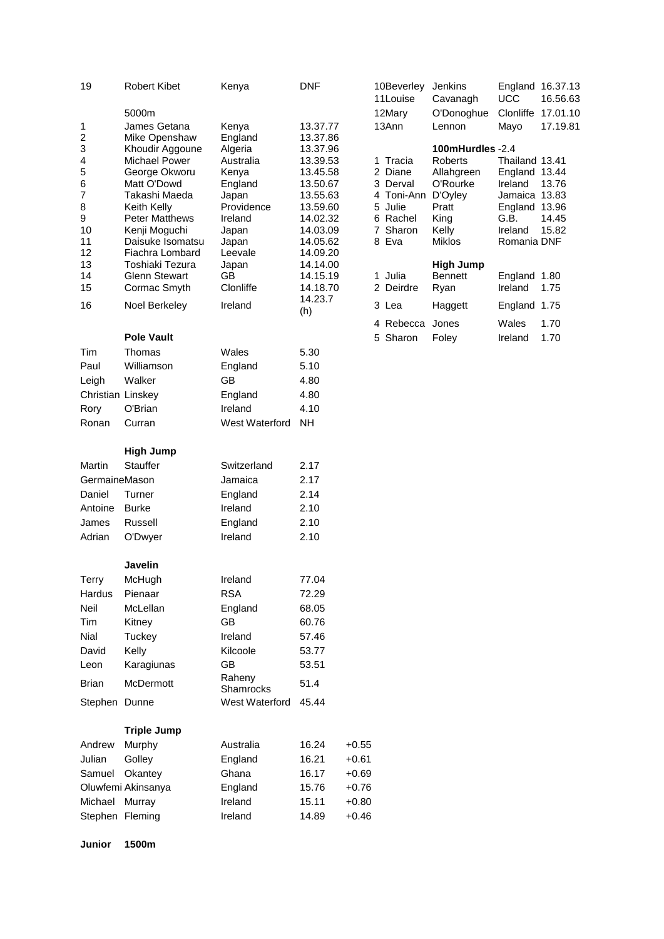| 19                | <b>Robert Kibet</b>          | Kenya               | <b>DNF</b>           |         |   | 10Beverley<br>11Louise      | Jenkins<br>Cavanagh | UCC                            | England 16.37.13<br>16.56.63 |
|-------------------|------------------------------|---------------------|----------------------|---------|---|-----------------------------|---------------------|--------------------------------|------------------------------|
|                   | 5000m                        |                     |                      |         |   | 12Mary                      | O'Donoghue          | Clonliffe 17.01.10             |                              |
| 1                 | James Getana                 | Kenya               | 13.37.77             |         |   | 13Ann                       | Lennon              | Mayo                           | 17.19.81                     |
| $\overline{c}$    | Mike Openshaw                | England             | 13.37.86             |         |   |                             |                     |                                |                              |
| 3                 | Khoudir Aggoune              | Algeria             | 13.37.96             |         |   |                             | 100mHurdles -2.4    |                                |                              |
| 4                 | <b>Michael Power</b>         | Australia           | 13.39.53             |         |   | 1 Tracia                    | Roberts             | Thailand 13.41                 |                              |
| 5                 | George Okworu                | Kenya               | 13.45.58             |         |   | 2 Diane                     | Allahgreen          | England 13.44                  |                              |
| 6                 | Matt O'Dowd                  | England             | 13.50.67             |         |   | 3 Derval                    | O'Rourke            | Ireland                        | 13.76                        |
| 7<br>8            | Takashi Maeda<br>Keith Kelly | Japan<br>Providence | 13.55.63<br>13.59.60 |         | 5 | 4 Toni-Ann D'Oyley<br>Julie | Pratt               | Jamaica 13.83<br>England 13.96 |                              |
| 9                 | <b>Peter Matthews</b>        | Ireland             | 14.02.32             |         |   | 6 Rachel                    | King                | G.B.                           | 14.45                        |
| 10                | Kenji Moguchi                | Japan               | 14.03.09             |         |   | 7 Sharon                    | Kelly               | Ireland                        | 15.82                        |
| 11                | Daisuke Isomatsu             | Japan               | 14.05.62             |         |   | 8 Eva                       | <b>Miklos</b>       | Romania DNF                    |                              |
| 12                | Fiachra Lombard              | Leevale             | 14.09.20             |         |   |                             |                     |                                |                              |
| 13                | Toshiaki Tezura              | Japan               | 14.14.00             |         |   |                             | <b>High Jump</b>    |                                |                              |
| 14                | <b>Glenn Stewart</b>         | GB                  | 14.15.19             |         |   | 1 Julia                     | <b>Bennett</b>      | England 1.80                   |                              |
| 15                | Cormac Smyth                 | Clonliffe           | 14.18.70             |         |   | 2 Deirdre                   | Ryan                | Ireland                        | 1.75                         |
| 16                | Noel Berkeley                | Ireland             | 14.23.7<br>(h)       |         |   | 3 Lea                       | Haggett             | England 1.75                   |                              |
|                   |                              |                     |                      |         |   | 4 Rebecca                   | Jones               | Wales                          | 1.70                         |
|                   | <b>Pole Vault</b>            |                     |                      |         |   | 5 Sharon                    | Foley               | Ireland                        | 1.70                         |
| Tim               | Thomas                       | Wales               | 5.30                 |         |   |                             |                     |                                |                              |
| Paul              | Williamson                   | England             | 5.10                 |         |   |                             |                     |                                |                              |
| Leigh             | Walker                       | GB                  | 4.80                 |         |   |                             |                     |                                |                              |
| Christian Linskey |                              | England             | 4.80                 |         |   |                             |                     |                                |                              |
| Rory              | O'Brian                      | Ireland             | 4.10                 |         |   |                             |                     |                                |                              |
| Ronan             | Curran                       | West Waterford      | <b>NH</b>            |         |   |                             |                     |                                |                              |
|                   | <b>High Jump</b>             |                     |                      |         |   |                             |                     |                                |                              |
| Martin            | <b>Stauffer</b>              | Switzerland         | 2.17                 |         |   |                             |                     |                                |                              |
| GermaineMason     |                              | Jamaica             | 2.17                 |         |   |                             |                     |                                |                              |
| Daniel            | Turner                       | England             | 2.14                 |         |   |                             |                     |                                |                              |
| Antoine           | <b>Burke</b>                 | Ireland             | 2.10                 |         |   |                             |                     |                                |                              |
| James             | Russell                      | England             | 2.10                 |         |   |                             |                     |                                |                              |
| Adrian            | O'Dwyer                      | Ireland             | 2.10                 |         |   |                             |                     |                                |                              |
|                   | Javelin                      |                     |                      |         |   |                             |                     |                                |                              |
| Terry             | McHugh                       | Ireland             | 77.04                |         |   |                             |                     |                                |                              |
| Hardus            | Pienaar                      | <b>RSA</b>          | 72.29                |         |   |                             |                     |                                |                              |
| Neil              | McLellan                     | England             | 68.05                |         |   |                             |                     |                                |                              |
|                   |                              | GB                  | 60.76                |         |   |                             |                     |                                |                              |
| Tim               | Kitney                       |                     |                      |         |   |                             |                     |                                |                              |
| Nial              | Tuckey                       | Ireland             | 57.46                |         |   |                             |                     |                                |                              |
| David             | Kelly                        | Kilcoole            | 53.77                |         |   |                             |                     |                                |                              |
| Leon              | Karagiunas                   | GB                  | 53.51                |         |   |                             |                     |                                |                              |
| <b>Brian</b>      | McDermott                    | Raheny<br>Shamrocks | 51.4                 |         |   |                             |                     |                                |                              |
| Stephen Dunne     |                              | West Waterford      | 45.44                |         |   |                             |                     |                                |                              |
|                   | <b>Triple Jump</b>           |                     |                      |         |   |                             |                     |                                |                              |
| Andrew            | Murphy                       | Australia           | 16.24                | $+0.55$ |   |                             |                     |                                |                              |
| Julian            | Golley                       | England             | 16.21                | $+0.61$ |   |                             |                     |                                |                              |
| Samuel            | Okantey                      | Ghana               | 16.17                | $+0.69$ |   |                             |                     |                                |                              |
|                   | Oluwfemi Akinsanya           | England             | 15.76                | $+0.76$ |   |                             |                     |                                |                              |
| Michael           | Murray                       | Ireland             | 15.11                | $+0.80$ |   |                             |                     |                                |                              |
| Stephen Fleming   |                              | Ireland             | 14.89                | $+0.46$ |   |                             |                     |                                |                              |
|                   |                              |                     |                      |         |   |                             |                     |                                |                              |

| <b>DNF</b> | 10Beverley   | <b>Jenkins</b>   | England        | 16.37.13 |
|------------|--------------|------------------|----------------|----------|
|            | 11Louise     | Cavanagh         | UCC            | 16.56.63 |
|            | 12Mary       | O'Donoghue       | Clonliffe      | 17.01.10 |
| 13.37.77   | 13Ann        | Lennon           | Mayo           | 17.19.81 |
| 13.37.86   |              |                  |                |          |
| 13.37.96   |              | 100mHurdles -2.4 |                |          |
| 13.39.53   | Tracia<br>1  | <b>Roberts</b>   | Thailand 13.41 |          |
| 13.45.58   | 2 Diane      | Allahgreen       | England        | 13.44    |
| 13.50.67   | 3 Derval     | O'Rourke         | Ireland        | 13.76    |
| 13.55.63   | 4 Toni-Ann   | D'Oyley          | Jamaica        | 13.83    |
| 13.59.60   | 5 Julie      | Pratt            | England        | 13.96    |
| 14.02.32   | Rachel<br>6  | King             | G.B.           | 14.45    |
| 14.03.09   | 7 Sharon     | Kelly            | Ireland        | 15.82    |
| 14.05.62   | 8 Eva        | <b>Miklos</b>    | Romania DNF    |          |
| 14.09.20   |              |                  |                |          |
| 14.14.00   |              | High Jump        |                |          |
| 14.15.19   | 1 Julia      | <b>Bennett</b>   | England 1.80   |          |
| 14.18.70   | 2 Deirdre    | Ryan             | Ireland        | 1.75     |
| 14.23.7    | 3 Lea        | Haggett          | England 1.75   |          |
| (h)        |              |                  |                |          |
|            | Rebecca<br>4 | Jones            | Wales          | 1.70     |
|            | 5 Sharon     | Foley            | Ireland        | 1.70     |
|            |              |                  |                |          |

**Junior 1500m**